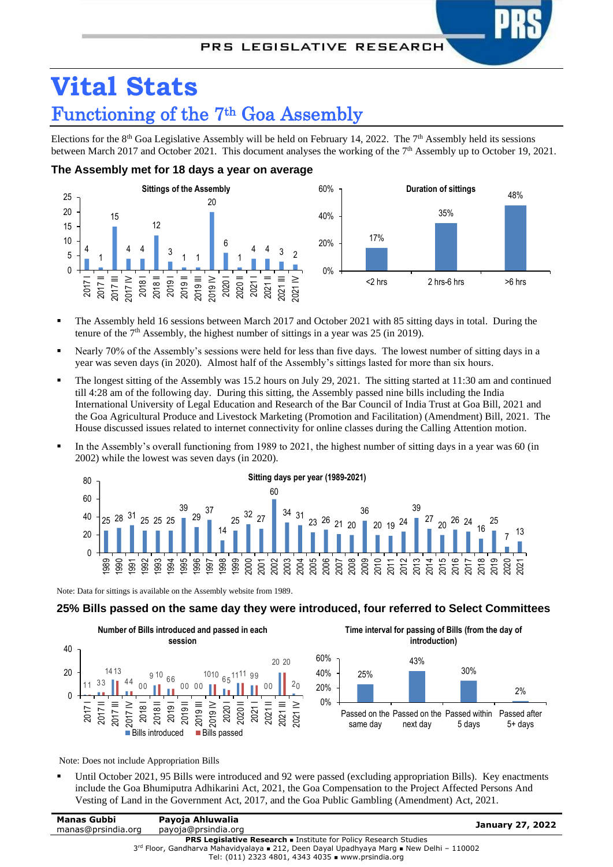# **Vital Stats** Functioning of the 7th Goa Assembly

Elections for the  $8<sup>th</sup>$  Goa Legislative Assembly will be held on February 14, 2022. The  $7<sup>th</sup>$  Assembly held its sessions between March 2017 and October 2021. This document analyses the working of the 7<sup>th</sup> Assembly up to October 19, 2021.

## **The Assembly met for 18 days a year on average**



- The Assembly held 16 sessions between March 2017 and October 2021 with 85 sitting days in total. During the tenure of the  $7<sup>th</sup>$  Assembly, the highest number of sittings in a year was 25 (in 2019).
- Nearly 70% of the Assembly's sessions were held for less than five days. The lowest number of sitting days in a year was seven days (in 2020). Almost half of the Assembly's sittings lasted for more than six hours.
- The longest sitting of the Assembly was 15.2 hours on July 29, 2021. The sitting started at  $11:30$  am and continued till 4:28 am of the following day. During this sitting, the Assembly passed nine bills including the India International University of Legal Education and Research of the Bar Council of India Trust at Goa Bill, 2021 and the Goa Agricultural Produce and Livestock Marketing (Promotion and Facilitation) (Amendment) Bill, 2021. The House discussed issues related to internet connectivity for online classes during the Calling Attention motion.
- In the Assembly's overall functioning from 1989 to 2021, the highest number of sitting days in a year was 60 (in 2002) while the lowest was seven days (in 2020).



Note: Data for sittings is available on the Assembly website from 1989.

### **25% Bills passed on the same day they were introduced, four referred to Select Committees**



Note: Does not include Appropriation Bills

Until October 2021, 95 Bills were introduced and 92 were passed (excluding appropriation Bills). Key enactments include the Goa Bhumiputra Adhikarini Act, 2021, the Goa Compensation to the Project Affected Persons And Vesting of Land in the Government Act, 2017, and the Goa Public Gambling (Amendment) Act, 2021.

| Manas Gubbi                                                                                   | Payoja Ahluwalia    | January 27, 2022 |
|-----------------------------------------------------------------------------------------------|---------------------|------------------|
| manas@prsindia.org                                                                            | payoja@prsindia.org |                  |
| <b>PRS Legislative Research .</b> Institute for Policy Research Studies                       |                     |                  |
| $3^{rd}$ Floor, Gandharva Mahavidyalaya = 212, Deen Dayal Upadhyaya Marq = New Delhi - 110002 |                     |                  |
| Tel: $(011)$ 2323 4801, 4343 4035 www.prsindia.org                                            |                     |                  |